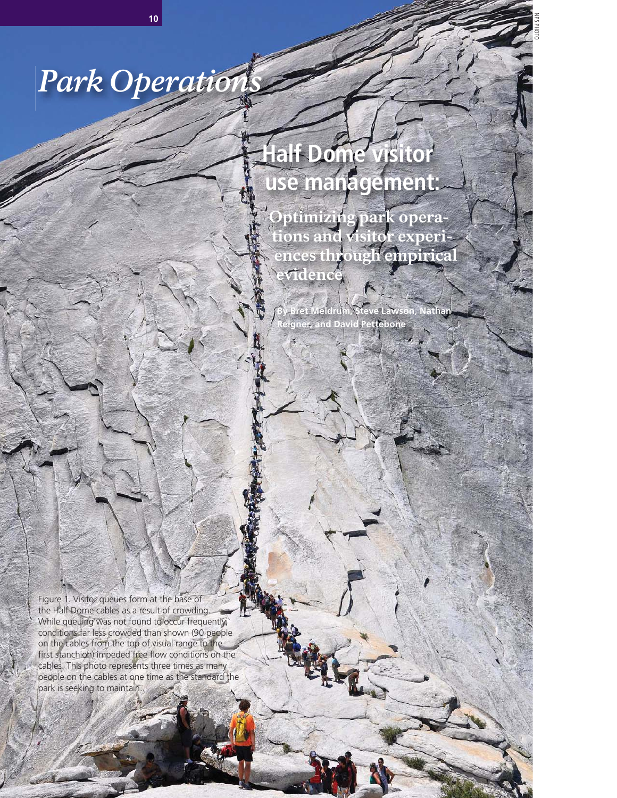# *Park Operations*

## **Half Dome visitor use management:**

NPS PHOTO

PARK SCIENCE • VOLUME 29 • NUMBER 1 • SPRING/SUMMER 2012 **<sup>10</sup>**

Optimizing park operations and visitor experiences through empirical evidence

**By Bret Meldrum, Steve Lawson, Nathan Reigner, and David Pettebone**

Figure 1. Visitor queues form at the base of the Half Dome cables as a result of crowding. While queuing was not found to occur frequently, conditions far less crowded than shown (90 people on the cables from the top of visual range to the first stanchion) impeded free flow conditions on the cables. This photo represents three times as many people on the cables at one time as the standard the park is seeking to maintain.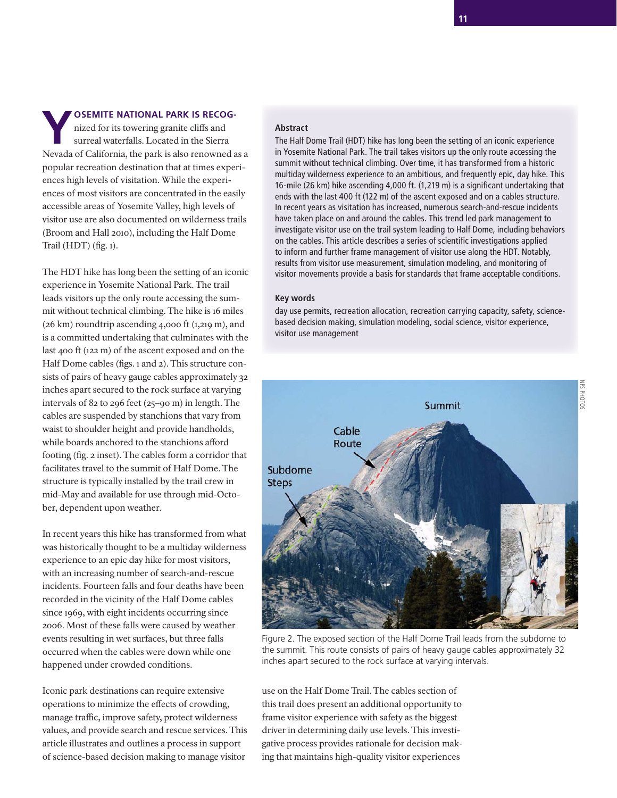**YOSEMITE NATIONAL PARK IS RECOG-**<br>
nized for its towering granite cliffs and<br>
surreal waterfalls. Located in the Sierra nized for its towering granite cliffs and Nevada of California, the park is also renowned as a popular recreation destination that at times experiences high levels of visitation. While the experiences of most visitors are concentrated in the easily accessible areas of Yosemite Valley, high levels of visitor use are also documented on wilderness trails (Broom and Hall 2010), including the Half Dome Trail (HDT) (fig.  $1$ ).

The HDT hike has long been the setting of an iconic experience in Yosemite National Park. The trail leads visitors up the only route accessing the summit without technical climbing. The hike is 16 miles (26 km) roundtrip ascending 4,000 ft (1,219 m), and is a committed undertaking that culminates with the last 400 ft (122 m) of the ascent exposed and on the Half Dome cables (figs. 1 and 2). This structure consists of pairs of heavy gauge cables approximately 32 inches apart secured to the rock surface at varying intervals of 82 to 296 feet (25–90 m) in length. The cables are suspended by stanchions that vary from waist to shoulder height and provide handholds, while boards anchored to the stanchions afford footing (fig. 2 inset). The cables form a corridor that facilitates travel to the summit of Half Dome. The structure is typically installed by the trail crew in mid-May and available for use through mid-October, dependent upon weather.

In recent years this hike has transformed from what was historically thought to be a multiday wilderness experience to an epic day hike for most visitors, with an increasing number of search-and-rescue incidents. Fourteen falls and four deaths have been recorded in the vicinity of the Half Dome cables since 1969, with eight incidents occurring since 2006. Most of these falls were caused by weather events resulting in wet surfaces, but three falls occurred when the cables were down while one happened under crowded conditions.

Iconic park destinations can require extensive operations to minimize the effects of crowding, manage traffic, improve safety, protect wilderness values, and provide search and rescue services. This article illustrates and outlines a process in support of science-based decision making to manage visitor

#### **Abstract**

The Half Dome Trail (HDT) hike has long been the setting of an iconic experience in Yosemite National Park. The trail takes visitors up the only route accessing the summit without technical climbing. Over time, it has transformed from a historic multiday wilderness experience to an ambitious, and frequently epic, day hike. This 16-mile (26 km) hike ascending 4,000 ft. (1,219 m) is a significant undertaking that ends with the last 400 ft (122 m) of the ascent exposed and on a cables structure. In recent years as visitation has increased, numerous search-and-rescue incidents have taken place on and around the cables. This trend led park management to investigate visitor use on the trail system leading to Half Dome, including behaviors on the cables. This article describes a series of scientific investigations applied to inform and further frame management of visitor use along the HDT. Notably, results from visitor use measurement, simulation modeling, and monitoring of visitor movements provide a basis for standards that frame acceptable conditions.

#### **Key words**

day use permits, recreation allocation, recreation carrying capacity, safety, sciencebased decision making, simulation modeling, social science, visitor experience, visitor use management



Figure 2. The exposed section of the Half Dome Trail leads from the subdome to the summit. This route consists of pairs of heavy gauge cables approximately 32 inches apart secured to the rock surface at varying intervals.

use on the Half Dome Trail. The cables section of this trail does present an additional opportunity to frame visitor experience with safety as the biggest driver in determining daily use levels. This investigative process provides rationale for decision making that maintains high-quality visitor experiences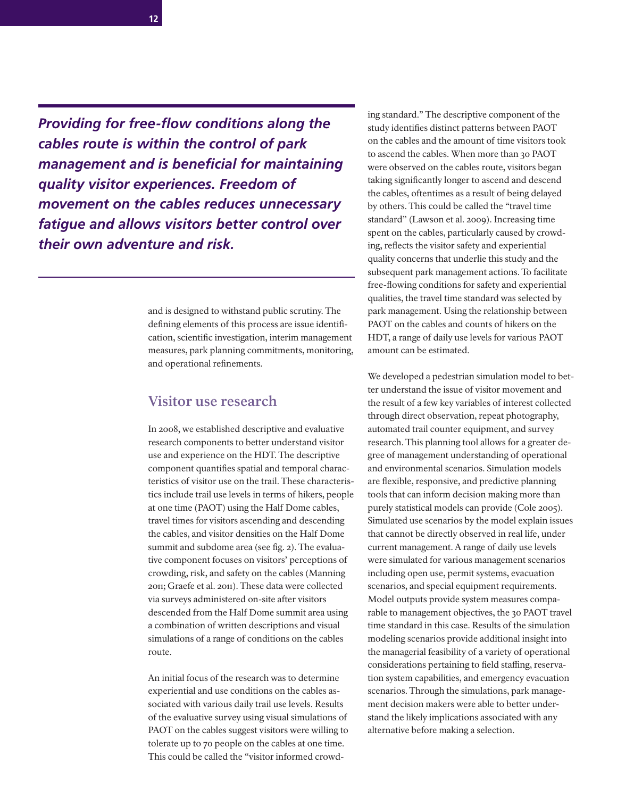**12**

**Providing for free-flow conditions along the** *cables route is within the control of park management and is beneficial for maintaining quality visitor experiences. Freedom of movement on the cables reduces unnecessary fatigue and allows visitors better control over their own adventure and risk.*

> and is designed to withstand public scrutiny. The defining elements of this process are issue identification, scientific investigation, interim management measures, park planning commitments, monitoring, and operational refinements.

#### **Visitor use research**

In 2008, we established descriptive and evaluative research components to better understand visitor use and experience on the HDT. The descriptive component quantifies spatial and temporal characteristics of visitor use on the trail. These characteristics include trail use levels in terms of hikers, people at one time (PAOT) using the Half Dome cables, travel times for visitors ascending and descending the cables, and visitor densities on the Half Dome summit and subdome area (see fig. 2). The evaluative component focuses on visitors' perceptions of crowding, risk, and safety on the cables (Manning 2011; Graefe et al. 2011). These data were collected via surveys administered on-site after visitors descended from the Half Dome summit area using a combination of written descriptions and visual simulations of a range of conditions on the cables route.

An initial focus of the research was to determine experiential and use conditions on the cables associated with various daily trail use levels. Results of the evaluative survey using visual simulations of PAOT on the cables suggest visitors were willing to tolerate up to 70 people on the cables at one time. This could be called the "visitor informed crowding standard." The descriptive component of the study identifies distinct patterns between PAOT on the cables and the amount of time visitors took to ascend the cables. When more than 30 PAOT were observed on the cables route, visitors began taking significantly longer to ascend and descend the cables, oftentimes as a result of being delayed by others. This could be called the "travel time standard" (Lawson et al. 2009). Increasing time spent on the cables, particularly caused by crowding, reflects the visitor safety and experiential quality concerns that underlie this study and the subsequent park management actions. To facilitate free-flowing conditions for safety and experiential qualities, the travel time standard was selected by park management. Using the relationship between PAOT on the cables and counts of hikers on the HDT, a range of daily use levels for various PAOT amount can be estimated.

We developed a pedestrian simulation model to better understand the issue of visitor movement and the result of a few key variables of interest collected through direct observation, repeat photography, automated trail counter equipment, and survey research. This planning tool allows for a greater degree of management understanding of operational and environmental scenarios. Simulation models are flexible, responsive, and predictive planning tools that can inform decision making more than purely statistical models can provide (Cole 2005). Simulated use scenarios by the model explain issues that cannot be directly observed in real life, under current management. A range of daily use levels were simulated for various management scenarios including open use, permit systems, evacuation scenarios, and special equipment requirements. Model outputs provide system measures comparable to management objectives, the 30 PAOT travel time standard in this case. Results of the simulation modeling scenarios provide additional insight into the managerial feasibility of a variety of operational considerations pertaining to field staffing, reservation system capabilities, and emergency evacuation scenarios. Through the simulations, park management decision makers were able to better understand the likely implications associated with any alternative before making a selection.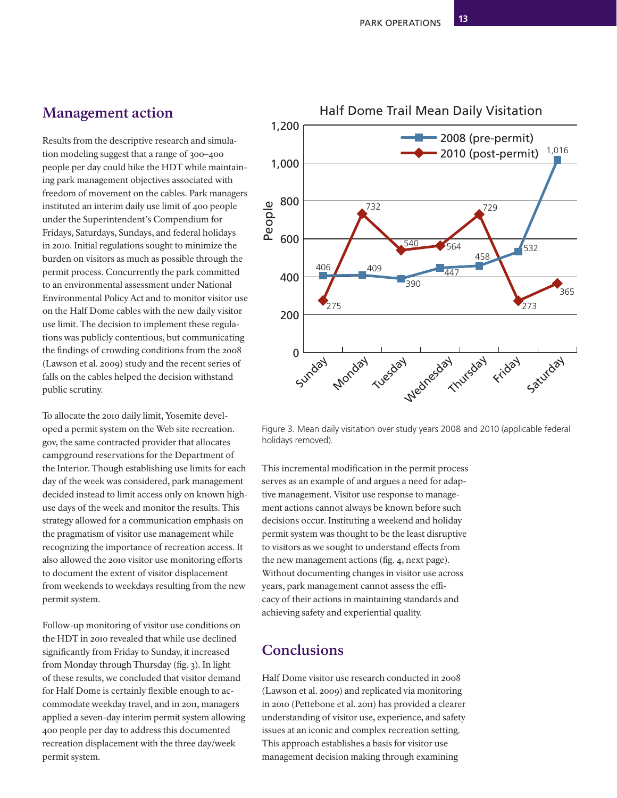## **Management action**

Results from the descriptive research and simulation modeling suggest that a range of 300–400 people per day could hike the HDT while maintaining park management objectives associated with freedom of movement on the cables. Park managers instituted an interim daily use limit of 400 people under the Superintendent's Compendium for Fridays, Saturdays, Sundays, and federal holidays in 2010. Initial regulations sought to minimize the burden on visitors as much as possible through the permit process. Concurrently the park committed to an environmental assessment under National Environmental Policy Act and to monitor visitor use on the Half Dome cables with the new daily visitor use limit. The decision to implement these regulations was publicly contentious, but communicating the findings of crowding conditions from the 2008 (Lawson et al. 2009) study and the recent series of falls on the cables helped the decision withstand public scrutiny.

To allocate the 2010 daily limit, Yosemite developed a permit system on the Web site recreation. gov, the same contracted provider that allocates campground reservations for the Department of the Interior. Though establishing use limits for each day of the week was considered, park management decided instead to limit access only on known highuse days of the week and monitor the results. This strategy allowed for a communication emphasis on the pragmatism of visitor use management while recognizing the importance of recreation access. It also allowed the 2010 visitor use monitoring efforts to document the extent of visitor displacement from weekends to weekdays resulting from the new permit system.

Follow-up monitoring of visitor use conditions on the HDT in 2010 revealed that while use declined significantly from Friday to Sunday, it increased from Monday through Thursday (fig.  $3$ ). In light of these results, we concluded that visitor demand for Half Dome is certainly flexible enough to accommodate weekday travel, and in 2011, managers applied a seven-day interim permit system allowing 400 people per day to address this documented recreation displacement with the three day/week permit system.



540 564

447

390

Figure 3. Mean daily visitation over study years 2008 and 2010 (applicable federal holidays removed).

This incremental modification in the permit process serves as an example of and argues a need for adaptive management. Visitor use response to management actions cannot always be known before such decisions occur. Instituting a weekend and holiday permit system was thought to be the least disruptive to visitors as we sought to understand effects from the new management actions (fig. 4, next page). Without documenting changes in visitor use across years, park management cannot assess the efficacy of their actions in maintaining standards and achieving safety and experiential quality.

## **Conclusions**

200

275

406 409

732

400

600

800

People

1,000

1,200

Half Dome visitor use research conducted in 2008 (Lawson et al. 2009) and replicated via monitoring in 2010 (Pettebone et al. 2011) has provided a clearer understanding of visitor use, experience, and safety issues at an iconic and complex recreation setting. This approach establishes a basis for visitor use management decision making through examining



2010 (post-permit) 2008 (pre-permit)

729

458

273

532

.<br>365

1,016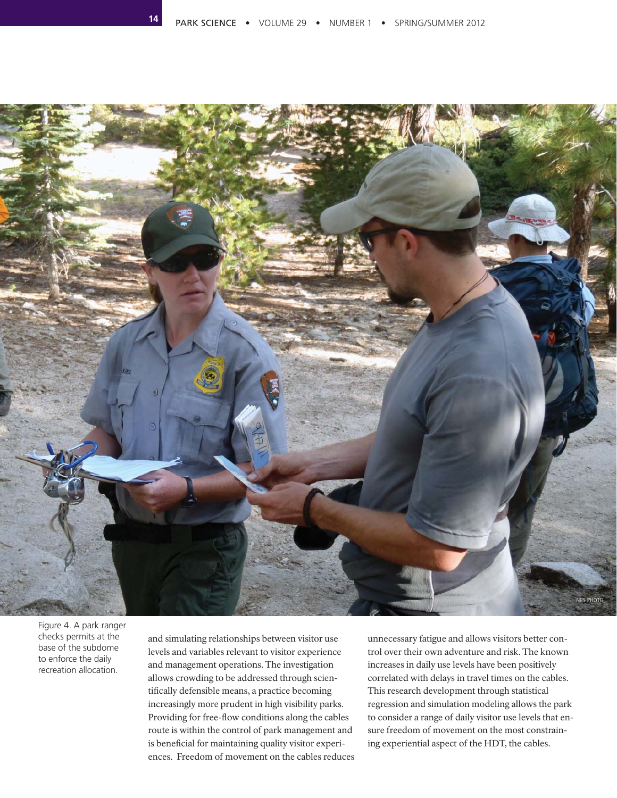**14**



Figure 4. A park ranger checks permits at the base of the subdome to enforce the daily recreation allocation.

and simulating relationships between visitor use levels and variables relevant to visitor experience and management operations. The investigation allows crowding to be addressed through scientifically defensible means, a practice becoming increasingly more prudent in high visibility parks. Providing for free-flow conditions along the cables route is within the control of park management and is beneficial for maintaining quality visitor experiences. Freedom of movement on the cables reduces

unnecessary fatigue and allows visitors better control over their own adventure and risk. The known increases in daily use levels have been positively correlated with delays in travel times on the cables. This research development through statistical regression and simulation modeling allows the park to consider a range of daily visitor use levels that ensure freedom of movement on the most constraining experiential aspect of the HDT, the cables.